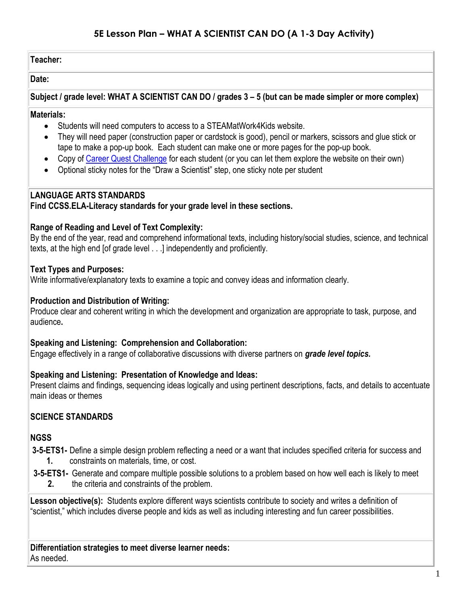# **5E Lesson Plan – WHAT A SCIENTIST CAN DO (A 1-3 Day Activity)**

#### **Teacher:**

#### **Date:**

**Subject / grade level: WHAT A SCIENTIST CAN DO / grades 3 – 5 (but can be made simpler or more complex)**

#### **Materials:**

- Students will need computers to access to a STEAMatWork4Kids website.
- They will need paper (construction paper or cardstock is good), pencil or markers, scissors and glue stick or tape to make a pop-up book. Each student can make one or more pages for the pop-up book.
- Copy of [Career Quest Challenge](https://www.steamatwork4kids.org/steam-topics) for each student (or you can let them explore the website on their own)
- Optional sticky notes for the "Draw a Scientist" step, one sticky note per student

## **LANGUAGE ARTS STANDARDS**

### **Find CCSS.ELA-Literacy standards for your grade level in these sections.**

#### **Range of Reading and Level of Text Complexity:**

By the end of the year, read and comprehend informational texts, including history/social studies, science, and technical texts, at the high end [of grade level . . .] independently and proficiently.

#### **Text Types and Purposes:**

Write informative/explanatory texts to examine a topic and convey ideas and information clearly.

### **Production and Distribution of Writing:**

Produce clear and coherent writing in which the development and organization are appropriate to task, purpose, and audience**.**

#### **Speaking and Listening: Comprehension and Collaboration:**

Engage effectively in a range of collaborative discussions with diverse partners on *grade level topics.*

#### **Speaking and Listening: Presentation of Knowledge and Ideas:**

Present claims and findings, sequencing ideas logically and using pertinent descriptions, facts, and details to accentuate main ideas or themes

## **SCIENCE STANDARDS**

#### **NGSS**

**3-5-ETS1-** Define a simple design problem reflecting a need or a want that includes specified criteria for success and **1.** constraints on materials, time, or cost.

**3-5-ETS1-** Generate and compare multiple possible solutions to a problem based on how well each is likely to meet **2.** the criteria and constraints of the problem.

**Lesson objective(s):** Students explore different ways scientists contribute to society and writes a definition of "scientist," which includes diverse people and kids as well as including interesting and fun career possibilities.

**Differentiation strategies to meet diverse learner needs:** As needed.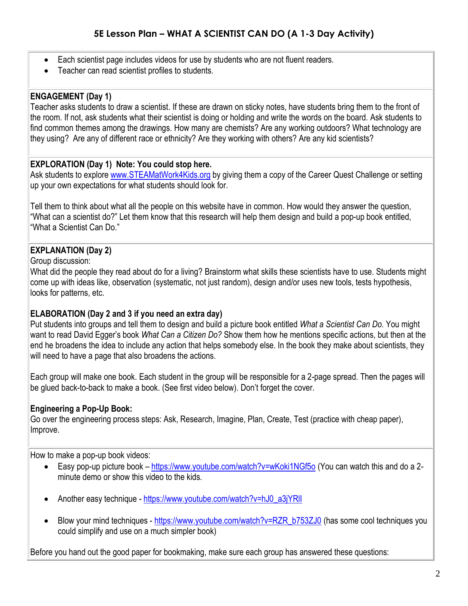- Each scientist page includes videos for use by students who are not fluent readers.
- Teacher can read scientist profiles to students.

## **ENGAGEMENT (Day 1)**

Teacher asks students to draw a scientist. If these are drawn on sticky notes, have students bring them to the front of the room. If not, ask students what their scientist is doing or holding and write the words on the board. Ask students to find common themes among the drawings. How many are chemists? Are any working outdoors? What technology are they using? Are any of different race or ethnicity? Are they working with others? Are any kid scientists?

# **EXPLORATION (Day 1) Note: You could stop here.**

Ask students to explore [www.STEAMatWork4Kids.org](http://www.steamatwork4kids.org/) by giving them a copy of the Career Quest Challenge or setting up your own expectations for what students should look for.

Tell them to think about what all the people on this website have in common. How would they answer the question, "What can a scientist do?" Let them know that this research will help them design and build a pop-up book entitled, "What a Scientist Can Do."

# **EXPLANATION (Day 2)**

Group discussion:

What did the people they read about do for a living? Brainstorm what skills these scientists have to use. Students might come up with ideas like, observation (systematic, not just random), design and/or uses new tools, tests hypothesis, looks for patterns, etc.

## **ELABORATION (Day 2 and 3 if you need an extra day)**

Put students into groups and tell them to design and build a picture book entitled *What a Scientist Can Do.* You might want to read David Egger's book *What Can a Citizen Do?* Show them how he mentions specific actions, but then at the end he broadens the idea to include any action that helps somebody else. In the book they make about scientists, they will need to have a page that also broadens the actions.

Each group will make one book. Each student in the group will be responsible for a 2-page spread. Then the pages will be glued back-to-back to make a book. (See first video below). Don't forget the cover.

## **Engineering a Pop-Up Book:**

Go over the engineering process steps: Ask, Research, Imagine, Plan, Create, Test (practice with cheap paper), Improve.

How to make a pop-up book videos:

- Easy pop-up picture book <https://www.youtube.com/watch?v=wKoki1NGf5o> (You can watch this and do a 2minute demo or show this video to the kids.
- Another easy technique [https://www.youtube.com/watch?v=hJ0\\_a3jYRlI](https://www.youtube.com/watch?v=hJ0_a3jYRlI)
- Blow your mind techniques [https://www.youtube.com/watch?v=RZR\\_b753ZJ0](https://www.youtube.com/watch?v=RZR_b753ZJ0) (has some cool techniques you could simplify and use on a much simpler book)

Before you hand out the good paper for bookmaking, make sure each group has answered these questions: